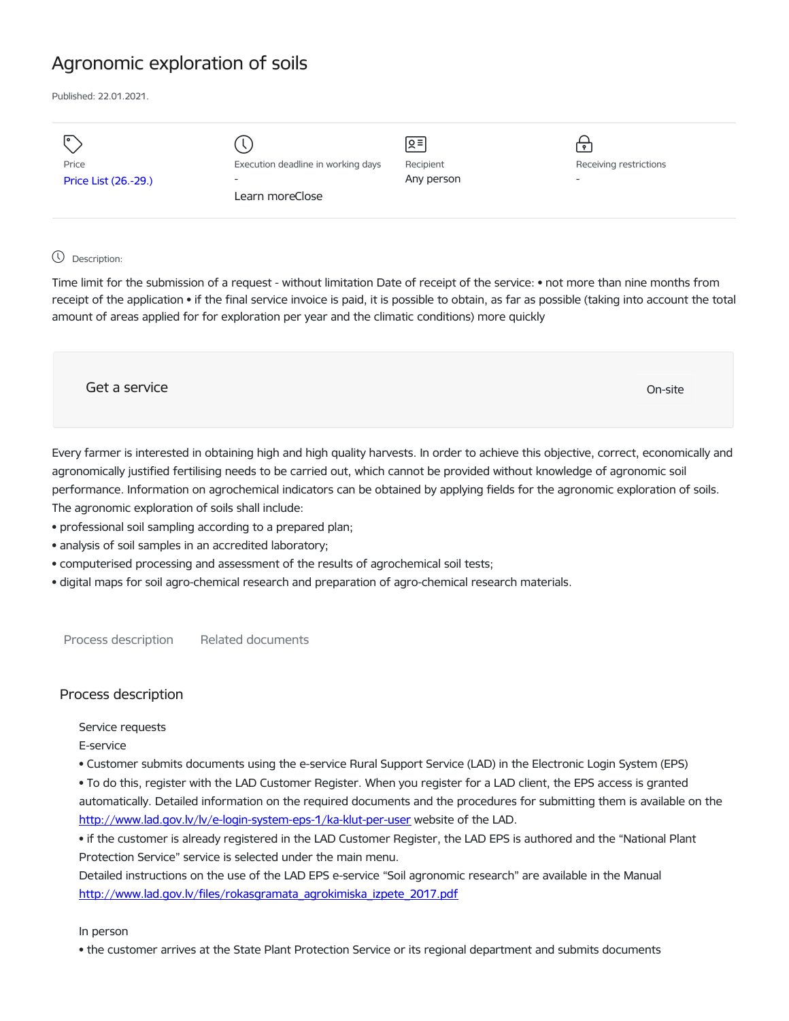# Agronomic exploration of soils

Published: 22.01.2021.

| I۰<br>Price          | Execution deadline in working days | $\sqrt{5}$<br>Recipient | Receiving restrictions   |
|----------------------|------------------------------------|-------------------------|--------------------------|
|                      |                                    |                         |                          |
| Price List (26.-29.) | $\overline{a}$                     | Any person              | $\overline{\phantom{a}}$ |
|                      | Learn moreClose                    |                         |                          |
|                      |                                    |                         |                          |

# Description:

Time limit for the submission of a request - without limitation Date of receipt of the service: • not more than nine months from receipt of the application • if the final service invoice is paid, it is possible to obtain, as far as possible (taking into account the total amount of areas applied for for exploration per year and the climatic conditions) more quickly

| Get a service | On-site |
|---------------|---------|
|               |         |

Every farmer is interested in obtaining high and high quality harvests. In order to achieve this objective, correct, economically and agronomically justified fertilising needs to be carried out, which cannot be provided without knowledge of agronomic soil performance. Information on agrochemical indicators can be obtained by applying fields for the agronomic exploration of soils. The agronomic exploration of soils shall include:

- professional soil sampling according to a prepared plan;
- analysis of soil samples in an accredited laboratory;
- computerised processing and assessment of the results of agrochemical soil tests;
- digital maps for soil agro-chemical research and preparation of agro-chemical research materials.

Process description Related documents

# Process description

Service requests

E-service

• Customer submits documents using the e-service Rural Support Service (LAD) in the Electronic Login System (EPS)

• To do this, register with the LAD Customer Register. When you register for a LAD client, the EPS access is granted

automatically. Detailed information on the required documents and the procedures for submitting them is available on the <http://www.lad.gov.lv/lv/e-login-system-eps-1/ka-klut-per-user> website of the LAD.

• if the customer is already registered in the LAD Customer Register, the LAD EPS is authored and the "National Plant Protection Service" service is selected under the main menu.

Detailed instructions on the use of the LAD EPS e-service "Soil agronomic research" are available in the Manual [http://www.lad.gov.lv/files/rokasgramata\\_agrokimiska\\_izpete\\_2017.pdf](http://www.lad.gov.lv/files/rokasgramata_agrokimiska_izpete_2017.pdf)

In person

• the customer arrives at the State Plant Protection Service or its regional department and submits documents